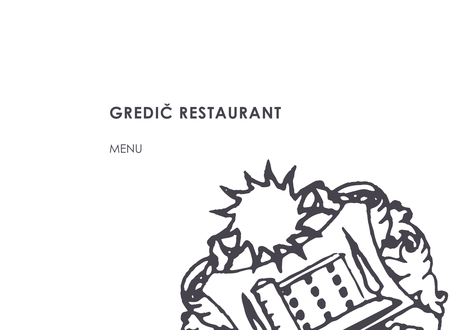# GREDIČ RESTAURANT

MENU

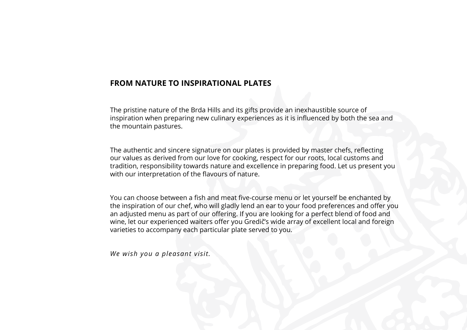### **FROM NATURE TO INSPIRATIONAL PLATES**

The pristine nature of the Brda Hills and its gifts provide an inexhaustible source of inspiration when preparing new culinary experiences as it is influenced by both the sea and the mountain pastures.

The authentic and sincere signature on our plates is provided by master chefs, reflecting our values as derived from our love for cooking, respect for our roots, local customs and tradition, responsibility towards nature and excellence in preparing food. Let us present you with our interpretation of the flavours of nature.

You can choose between a fish and meat five-course menu or let yourself be enchanted by the inspiration of our chef, who will gladly lend an ear to your food preferences and offer you an adjusted menu as part of our offering. If you are looking for a perfect blend of food and wine, let our experienced waiters offer you Gredič's wide array of excellent local and foreign varieties to accompany each particular plate served to you.

*We wish you a pleasant visit.*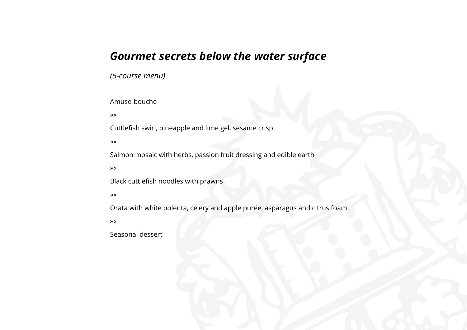## *Gourmet secrets below the water surface*

*(5-course menu)* 

Amuse-bouche

»«

Cuttlefish swirl, pineapple and lime gel, sesame crisp

»«

Salmon mosaic with herbs, passion fruit dressing and edible earth

»«

Black cuttlefish noodles with prawns

»«

Orata with white polenta, celery and apple purée, asparagus and citrus foam

»«

Seasonal dessert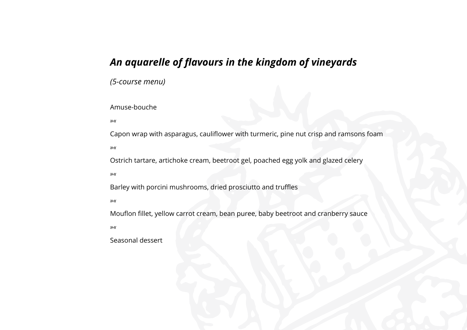## *An aquarelle of flavours in the kingdom of vineyards*

*(5-course menu)*

#### Amuse-bouche

*»«*

Capon wrap with asparagus, cauliflower with turmeric, pine nut crisp and ramsons foam *»«*

Ostrich tartare, artichoke cream, beetroot gel, poached egg yolk and glazed celery

*»«*

Barley with porcini mushrooms, dried prosciutto and truffles

*»«*

Mouflon fillet, yellow carrot cream, bean puree, baby beetroot and cranberry sauce *»«*

Seasonal dessert